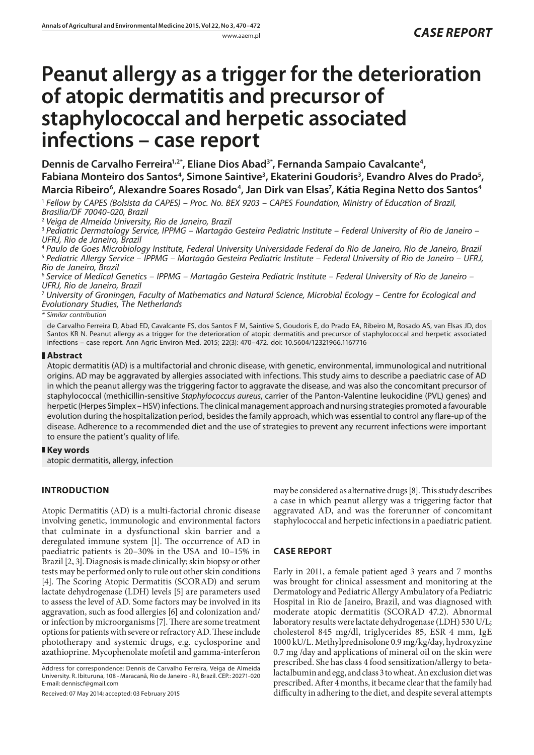# **Peanut allergy as a trigger for the deterioration of atopic dermatitis and precursor of staphylococcal and herpetic associated infections – case report**

Dennis de Carvalho Ferreira<sup>1,2\*</sup>, Eliane Dios Abad<sup>3\*</sup>, Fernanda Sampaio Cavalcante<sup>4</sup>, Fabiana Monteiro dos Santos<sup>4</sup>, Simone Saintive<sup>3</sup>, Ekaterini Goudoris<sup>3</sup>, Evandro Alves do Prado<sup>5</sup>, Marcia Ribeiro<sup>6</sup>, Alexandre Soares Rosado<sup>4</sup>, Jan Dirk van Elsas<sup>7</sup>, Kátia Regina Netto dos Santos<sup>4</sup>

<sup>1</sup> *Fellow by CAPES (Bolsista da CAPES) – Proc. No. BEX 9203 – CAPES Foundation, Ministry of Education of Brazil, Brasilia/DF 70040-020, Brazil*

<sup>2</sup> *Veiga de Almeida University, Rio de Janeiro, Brazil*

<sup>3</sup> *Pediatric Dermatology Service, IPPMG – Martagão Gesteira Pediatric Institute – Federal University of Rio de Janeiro – UFRJ, Rio de Janeiro, Brazil*

<sup>4</sup> *Paulo de Goes Microbiology Institute, Federal University Universidade Federal do Rio de Janeiro, Rio de Janeiro, Brazil* <sup>5</sup> *Pediatric Allergy Service – IPPMG – Martagão Gesteira Pediatric Institute – Federal University of Rio de Janeiro – UFRJ, Rio de Janeiro, Brazil*

<sup>6</sup> *Service of Medical Genetics – IPPMG – Martagão Gesteira Pediatric Institute – Federal University of Rio de Janeiro – UFRJ, Rio de Janeiro, Brazil*

<sup>7</sup> *University of Groningen, Faculty of Mathematics and Natural Science, Microbial Ecology – Centre for Ecological and Evolutionary Studies, The Netherlands*

*\* Similar contribution*

de Carvalho Ferreira D, Abad ED, Cavalcante FS, dos Santos F M, Saintive S, Goudoris E, do Prado EA, Ribeiro M, Rosado AS, [van Elsas](http://www.google.nl/url?sa=t&rct=j&q=&esrc=s&source=web&cd=2&sqi=2&ved=0CDUQFjAB&url=http%3A%2F%2Fwww.researchgate.net%2Fprofile%2FJan_Van_Elsas%2F&ei=XNT0UtzdJ6KiyQPi5YCoBQ&usg=AFQjCNHLQOtZ_c1VO74NBaiDK-B-H7YMjg&sig2=jTpnuecNj1xfHakkPZgHFw&bvm=bv.60799247,d.bGQ) JD, dos Santos KR N. Peanut allergy as a trigger for the deterioration of atopic dermatitis and precursor of staphylococcal and herpetic associated infections – case report. Ann Agric Environ Med. 2015; 22(3): 470–472. doi: 10.5604/12321966.1167716

# **Abstract**

Atopic dermatitis (AD) is a multifactorial and chronic disease, with genetic, environmental, immunological and nutritional origins. AD may be aggravated by allergies associated with infections. This study aims to describe a paediatric case of AD in which the peanut allergy was the triggering factor to aggravate the disease, and was also the concomitant precursor of staphylococcal (methicillin-sensitive *Staphylococcus aureus*, carrier of the Panton*-*Valentine leukocidine (PVL) genes) and herpetic (Herpes Simplex – HSV) infections. The clinical management approach and nursing strategies promoted a favourable evolution during the hospitalization period, besides the family approach, which was essential to control any flare-up of the disease. Adherence to a recommended diet and the use of strategies to prevent any recurrent infections were important to ensure the patient's quality of life.

## **Key words**

atopic dermatitis, allergy, infection

# **INTRODUCTION**

Atopic Dermatitis (AD) is a multi-factorial chronic disease involving genetic, immunologic and environmental factors that culminate in a dysfunctional skin barrier and a deregulated immune system [1]. The occurrence of AD in paediatric patients is 20–30% in the USA and 10–15% in Brazil [2, 3]. Diagnosis is made clinically; skin biopsy or other tests may be performed only to rule out other skin conditions [4]. The Scoring Atopic Dermatitis (SCORAD) and serum lactate dehydrogenase (LDH) levels [5] are parameters used to assess the level of AD. Some factors may be involved in its aggravation, such as food allergies [6] and colonization and/ or infection by microorganisms [7]. There are some treatment options for patients with severe or refractory AD. These include phototherapy and systemic drugs, e.g. cyclosporine and azathioprine. Mycophenolate mofetil and gamma-interferon

Address for correspondence: Dennis de Carvalho Ferreira, Veiga de Almeida University. R. Ibituruna, 108 - Maracanã, Rio de Janeiro - RJ, Brazil. CEP.: 20271-020 E-mail: denniscf@gmail.com

Received: 07 May 2014; accepted: 03 February 2015

may be considered as alternative drugs [8]. This study describes a case in which peanut allergy was a triggering factor that aggravated AD, and was the forerunner of concomitant staphylococcal and herpetic infections in a paediatric patient.

# **CASE REPORT**

Early in 2011, a female patient aged 3 years and 7 months was brought for clinical assessment and monitoring at the Dermatology and Pediatric Allergy Ambulatory of a Pediatric Hospital in Rio de Janeiro, Brazil, and was diagnosed with moderate atopic dermatitis (SCORAD 47.2). Abnormal laboratory results were lactate dehydrogenase (LDH) 530 U/L; cholesterol 845 mg/dl, triglycerides 85, ESR 4 mm, IgE 1000 kU/L. Methylprednisolone 0.9 mg/kg/day, hydroxyzine 0.7 mg /day and applications of mineral oil on the skin were prescribed. She has class 4 food sensitization/allergy to betalactalbumin and egg, and class 3 to wheat. An exclusion diet was prescribed. After 4 months, it became clear that the family had difficulty in adhering to the diet, and despite several attempts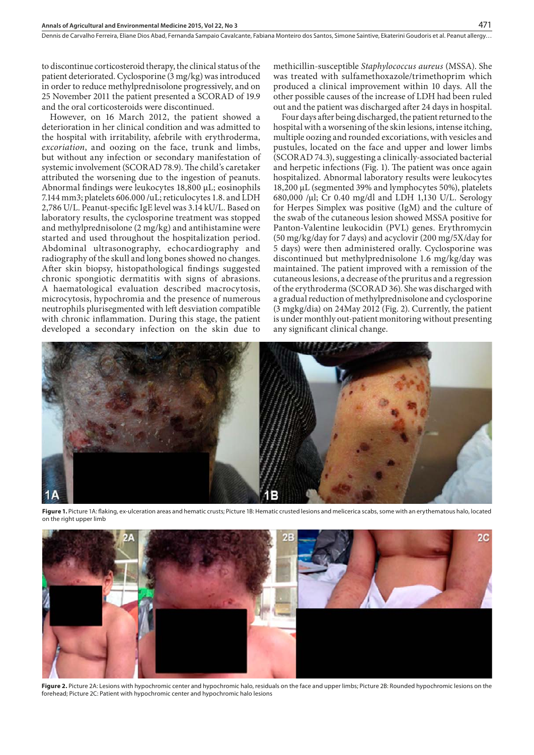to discontinue corticosteroid therapy, the clinical status of the patient deteriorated. Cyclosporine (3 mg/kg) was introduced in order to reduce methylprednisolone progressively, and on 25 November 2011 the patient presented a SCORAD of 19.9 and the oral corticosteroids were discontinued.

However, on 16 March 2012, the patient showed a deterioration in her clinical condition and was admitted to the hospital with irritability, afebrile with erythroderma, *excoriation*, and oozing on the face, trunk and limbs, but without any infection or secondary manifestation of systemic involvement (SCORAD 78.9). The child's caretaker attributed the worsening due to the ingestion of peanuts. Abnormal findings were leukocytes 18,800 µL; eosinophils 7.144 mm3; platelets 606.000 /uL; reticulocytes 1.8. and LDH 2,786 U/L. Peanut-specific IgE level was 3.14 kU/L. Based on laboratory results, the cyclosporine treatment was stopped and methylprednisolone (2 mg/kg) and antihistamine were started and used throughout the hospitalization period. Abdominal ultrasonography, echocardiography and radiography of the skull and long bones showed no changes. After skin biopsy, histopathological findings suggested chronic spongiotic dermatitis with signs of abrasions. A haematological evaluation described macrocytosis, microcytosis, hypochromia and the presence of numerous neutrophils plurisegmented with left desviation compatible with chronic inflammation. During this stage, the patient developed a secondary infection on the skin due to

methicillin-susceptible *Staphylococcus aureus* (MSSA). She was treated with sulfamethoxazole/trimethoprim which produced a clinical improvement within 10 days. All the other possible causes of the increase of LDH had been ruled out and the patient was discharged after 24 days in hospital.

471

Four days after being discharged, the patient returned to the hospital with a worsening of the skin lesions, intense itching, multiple oozing and rounded excoriations, with vesicles and pustules, located on the face and upper and lower limbs (SCORAD 74.3), suggesting a clinically-associated bacterial and herpetic infections (Fig. 1). The patient was once again hospitalized. Abnormal laboratory results were leukocytes 18,200 μL (segmented 39% and lymphocytes 50%), platelets 680,000 /μl; Cr 0.40 mg/dl and LDH 1,130 U/L. Serology for Herpes Simplex was positive (IgM) and the culture of the swab of the cutaneous lesion showed MSSA positive for Panton-Valentine leukocidin (PVL) genes. Erythromycin (50 mg/kg/day for 7 days) and acyclovir (200 mg/5X/day for 5 days) were then administered orally. Cyclosporine was discontinued but methylprednisolone 1.6 mg/kg/day was maintained. The patient improved with a remission of the cutaneous lesions, a decrease of the pruritus and a regression of the erythroderma (SCORAD 36). She was discharged with a gradual reduction of methylprednisolone and cyclosporine (3 mgkg/dia) on 24May 2012 (Fig. 2). Currently, the patient is under monthly out-patient monitoring without presenting any significant clinical change.



Figure 1. Picture 1A: flaking, ex-ulceration areas and hematic crusts; Picture 1B: Hematic crusted lesions and melicerica scabs, some with an erythematous halo, located on the right upper limb



**Figure 2.** Picture 2A: Lesions with hypochromic center and hypochromic halo, residuals on the face and upper limbs; Picture 2B: Rounded hypochromic lesions on the forehead; Picture 2C: Patient with hypochromic center and hypochromic halo lesions